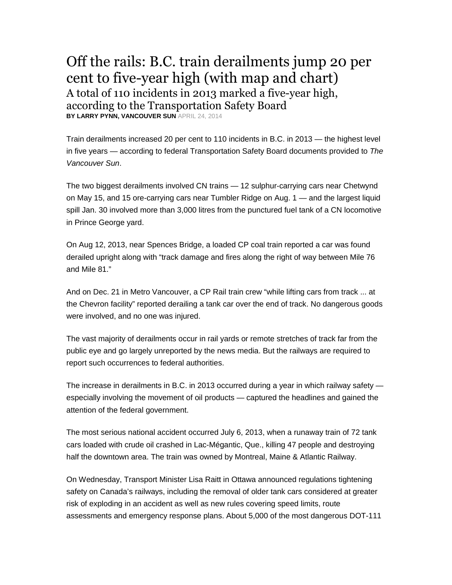## Off the rails: B.C. train derailments jump 20 per cent to five-year high (with map and chart) A total of 110 incidents in 2013 marked a five-year high, according to the Transportation Safety Board **BY LARRY PYNN, VANCOUVER SUN** APRIL 24, 2014

Train derailments increased 20 per cent to 110 incidents in B.C. in 2013 — the highest level

in five years — according to federal Transportation Safety Board documents provided to The Vancouver Sun.

The two biggest derailments involved CN trains — 12 sulphur-carrying cars near Chetwynd on May 15, and 15 ore-carrying cars near Tumbler Ridge on Aug. 1 — and the largest liquid spill Jan. 30 involved more than 3,000 litres from the punctured fuel tank of a CN locomotive in Prince George yard.

On Aug 12, 2013, near Spences Bridge, a loaded CP coal train reported a car was found derailed upright along with "track damage and fires along the right of way between Mile 76 and Mile 81."

And on Dec. 21 in Metro Vancouver, a CP Rail train crew "while lifting cars from track ... at the Chevron facility" reported derailing a tank car over the end of track. No dangerous goods were involved, and no one was injured.

The vast majority of derailments occur in rail yards or remote stretches of track far from the public eye and go largely unreported by the news media. But the railways are required to report such occurrences to federal authorities.

The increase in derailments in B.C. in 2013 occurred during a year in which railway safety especially involving the movement of oil products — captured the headlines and gained the attention of the federal government.

The most serious national accident occurred July 6, 2013, when a runaway train of 72 tank cars loaded with crude oil crashed in Lac-Mégantic, Que., killing 47 people and destroying half the downtown area. The train was owned by Montreal, Maine & Atlantic Railway.

On Wednesday, Transport Minister Lisa Raitt in Ottawa announced regulations tightening safety on Canada's railways, including the removal of older tank cars considered at greater risk of exploding in an accident as well as new rules covering speed limits, route assessments and emergency response plans. About 5,000 of the most dangerous DOT-111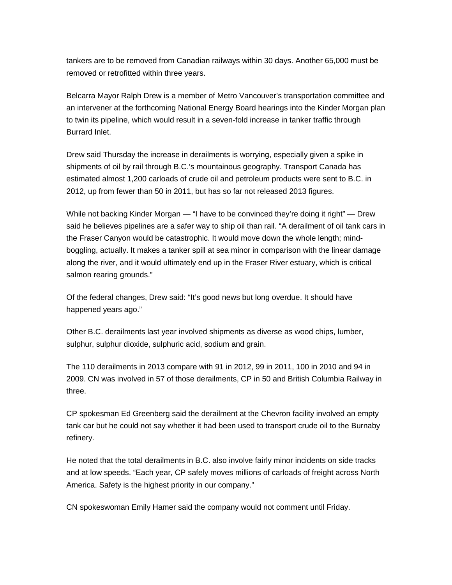tankers are to be removed from Canadian railways within 30 days. Another 65,000 must be removed or retrofitted within three years.

Belcarra Mayor Ralph Drew is a member of Metro Vancouver's transportation committee and an intervener at the forthcoming National Energy Board hearings into the Kinder Morgan plan to twin its pipeline, which would result in a seven-fold increase in tanker traffic through Burrard Inlet.

Drew said Thursday the increase in derailments is worrying, especially given a spike in shipments of oil by rail through B.C.'s mountainous geography. Transport Canada has estimated almost 1,200 carloads of crude oil and petroleum products were sent to B.C. in 2012, up from fewer than 50 in 2011, but has so far not released 2013 figures.

While not backing Kinder Morgan — "I have to be convinced they're doing it right" — Drew said he believes pipelines are a safer way to ship oil than rail. "A derailment of oil tank cars in the Fraser Canyon would be catastrophic. It would move down the whole length; mindboggling, actually. It makes a tanker spill at sea minor in comparison with the linear damage along the river, and it would ultimately end up in the Fraser River estuary, which is critical salmon rearing grounds."

Of the federal changes, Drew said: "It's good news but long overdue. It should have happened years ago."

Other B.C. derailments last year involved shipments as diverse as wood chips, lumber, sulphur, sulphur dioxide, sulphuric acid, sodium and grain.

The 110 derailments in 2013 compare with 91 in 2012, 99 in 2011, 100 in 2010 and 94 in 2009. CN was involved in 57 of those derailments, CP in 50 and British Columbia Railway in three.

CP spokesman Ed Greenberg said the derailment at the Chevron facility involved an empty tank car but he could not say whether it had been used to transport crude oil to the Burnaby refinery.

He noted that the total derailments in B.C. also involve fairly minor incidents on side tracks and at low speeds. "Each year, CP safely moves millions of carloads of freight across North America. Safety is the highest priority in our company."

CN spokeswoman Emily Hamer said the company would not comment until Friday.